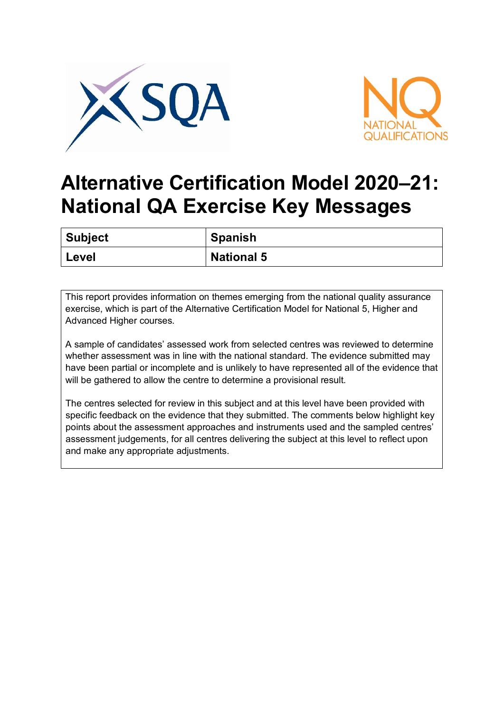



## **Alternative Certification Model 2020–21: National QA Exercise Key Messages**

| Subject | ' Spanish         |
|---------|-------------------|
| Level   | <b>National 5</b> |

This report provides information on themes emerging from the national quality assurance exercise, which is part of the Alternative Certification Model for National 5, Higher and Advanced Higher courses.

A sample of candidates' assessed work from selected centres was reviewed to determine whether assessment was in line with the national standard. The evidence submitted may have been partial or incomplete and is unlikely to have represented all of the evidence that will be gathered to allow the centre to determine a provisional result.

The centres selected for review in this subject and at this level have been provided with specific feedback on the evidence that they submitted. The comments below highlight key points about the assessment approaches and instruments used and the sampled centres' assessment judgements, for all centres delivering the subject at this level to reflect upon and make any appropriate adjustments.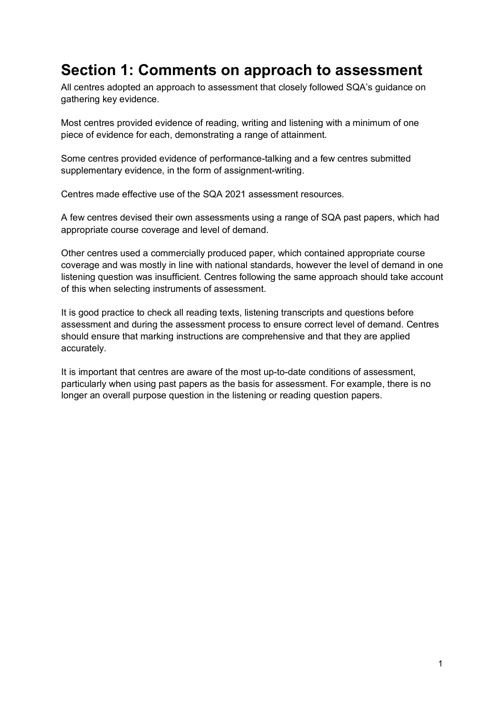## **Section 1: Comments on approach to assessment**

All centres adopted an approach to assessment that closely followed SQA's guidance on gathering key evidence.

Most centres provided evidence of reading, writing and listening with a minimum of one piece of evidence for each, demonstrating a range of attainment.

Some centres provided evidence of performance-talking and a few centres submitted supplementary evidence, in the form of assignment-writing.

Centres made effective use of the SQA 2021 assessment resources.

A few centres devised their own assessments using a range of SQA past papers, which had appropriate course coverage and level of demand.

Other centres used a commercially produced paper, which contained appropriate course coverage and was mostly in line with national standards, however the level of demand in one listening question was insufficient. Centres following the same approach should take account of this when selecting instruments of assessment.

It is good practice to check all reading texts, listening transcripts and questions before assessment and during the assessment process to ensure correct level of demand. Centres should ensure that marking instructions are comprehensive and that they are applied accurately.

It is important that centres are aware of the most up-to-date conditions of assessment, particularly when using past papers as the basis for assessment. For example, there is no longer an overall purpose question in the listening or reading question papers.